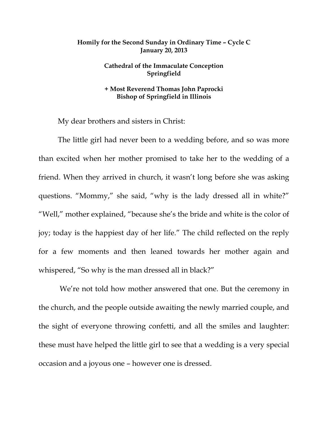## **Homily for the Second Sunday in Ordinary Time – Cycle C January 20, 2013**

## **Cathedral of the Immaculate Conception Springfield**

## **+ Most Reverend Thomas John Paprocki Bishop of Springfield in Illinois**

My dear brothers and sisters in Christ:

 The little girl had never been to a wedding before, and so was more than excited when her mother promised to take her to the wedding of a friend. When they arrived in church, it wasn't long before she was asking questions. "Mommy," she said, "why is the lady dressed all in white?" "Well," mother explained, "because she's the bride and white is the color of joy; today is the happiest day of her life." The child reflected on the reply for a few moments and then leaned towards her mother again and whispered, "So why is the man dressed all in black?"

 We're not told how mother answered that one. But the ceremony in the church, and the people outside awaiting the newly married couple, and the sight of everyone throwing confetti, and all the smiles and laughter: these must have helped the little girl to see that a wedding is a very special occasion and a joyous one – however one is dressed.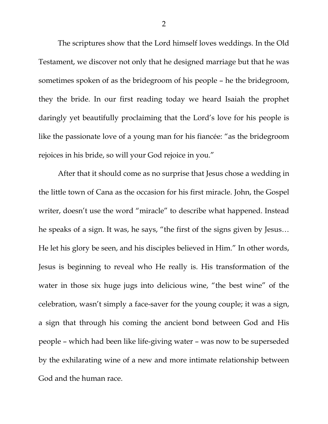The scriptures show that the Lord himself loves weddings. In the Old Testament, we discover not only that he designed marriage but that he was sometimes spoken of as the bridegroom of his people – he the bridegroom, they the bride. In our first reading today we heard Isaiah the prophet daringly yet beautifully proclaiming that the Lord's love for his people is like the passionate love of a young man for his fiancée: "as the bridegroom rejoices in his bride, so will your God rejoice in you."

 After that it should come as no surprise that Jesus chose a wedding in the little town of Cana as the occasion for his first miracle. John, the Gospel writer, doesn't use the word "miracle" to describe what happened. Instead he speaks of a sign. It was, he says, "the first of the signs given by Jesus… He let his glory be seen, and his disciples believed in Him." In other words, Jesus is beginning to reveal who He really is. His transformation of the water in those six huge jugs into delicious wine, "the best wine" of the celebration, wasn't simply a face-saver for the young couple; it was a sign, a sign that through his coming the ancient bond between God and His people – which had been like life-giving water – was now to be superseded by the exhilarating wine of a new and more intimate relationship between God and the human race.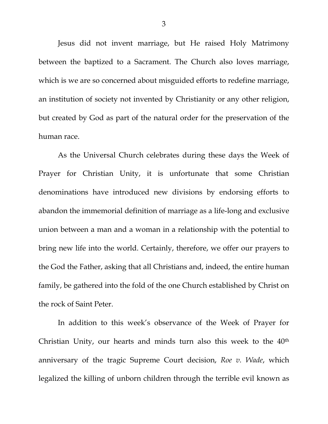Jesus did not invent marriage, but He raised Holy Matrimony between the baptized to a Sacrament. The Church also loves marriage, which is we are so concerned about misguided efforts to redefine marriage, an institution of society not invented by Christianity or any other religion, but created by God as part of the natural order for the preservation of the human race.

As the Universal Church celebrates during these days the Week of Prayer for Christian Unity, it is unfortunate that some Christian denominations have introduced new divisions by endorsing efforts to abandon the immemorial definition of marriage as a life-long and exclusive union between a man and a woman in a relationship with the potential to bring new life into the world. Certainly, therefore, we offer our prayers to the God the Father, asking that all Christians and, indeed, the entire human family, be gathered into the fold of the one Church established by Christ on the rock of Saint Peter.

 In addition to this week's observance of the Week of Prayer for Christian Unity, our hearts and minds turn also this week to the 40th anniversary of the tragic Supreme Court decision, *Roe v. Wade*, which legalized the killing of unborn children through the terrible evil known as

3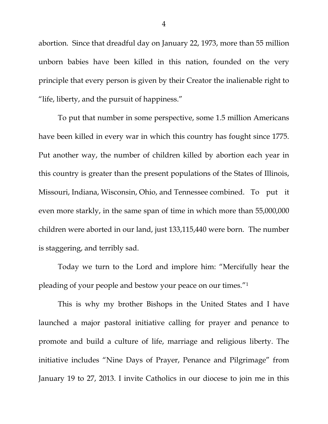abortion. Since that dreadful day on January 22, 1973, more than 55 million unborn babies have been killed in this nation, founded on the very principle that every person is given by their Creator the inalienable right to "life, liberty, and the pursuit of happiness."

 To put that number in some perspective, some 1.5 million Americans have been killed in every war in which this country has fought since 1775. Put another way, the number of children killed by abortion each year in this country is greater than the present populations of the States of Illinois, Missouri, Indiana, Wisconsin, Ohio, and Tennessee combined. To put it even more starkly, in the same span of time in which more than 55,000,000 children were aborted in our land, just 133,115,440 were born. The number is staggering, and terribly sad.

 Today we turn to the Lord and implore him: "Mercifully hear the pleading of your people and bestow your peace on our times."1

 This is why my brother Bishops in the United States and I have launched a major pastoral initiative calling for prayer and penance to promote and build a culture of life, marriage and religious liberty. The initiative includes "Nine Days of Prayer, Penance and Pilgrimage" from January 19 to 27, 2013. I invite Catholics in our diocese to join me in this

4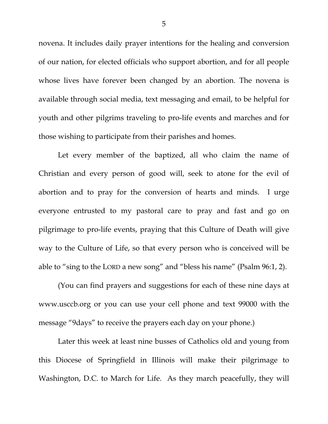novena. It includes daily prayer intentions for the healing and conversion of our nation, for elected officials who support abortion, and for all people whose lives have forever been changed by an abortion. The novena is available through social media, text messaging and email, to be helpful for youth and other pilgrims traveling to pro-life events and marches and for those wishing to participate from their parishes and homes.

Let every member of the baptized, all who claim the name of Christian and every person of good will, seek to atone for the evil of abortion and to pray for the conversion of hearts and minds. I urge everyone entrusted to my pastoral care to pray and fast and go on pilgrimage to pro-life events, praying that this Culture of Death will give way to the Culture of Life, so that every person who is conceived will be able to "sing to the LORD a new song" and "bless his name" (Psalm 96:1, 2).

 (You can find prayers and suggestions for each of these nine days at www.usccb.org or you can use your cell phone and text 99000 with the message "9days" to receive the prayers each day on your phone.)

 Later this week at least nine busses of Catholics old and young from this Diocese of Springfield in Illinois will make their pilgrimage to Washington, D.C. to March for Life. As they march peacefully, they will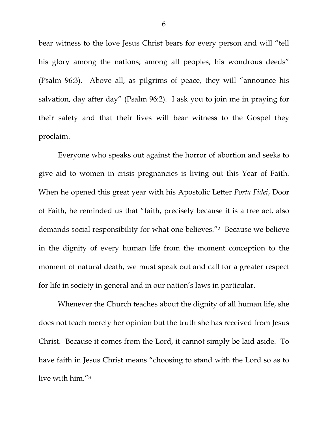bear witness to the love Jesus Christ bears for every person and will "tell his glory among the nations; among all peoples, his wondrous deeds" (Psalm 96:3). Above all, as pilgrims of peace, they will "announce his salvation, day after day" (Psalm 96:2). I ask you to join me in praying for their safety and that their lives will bear witness to the Gospel they proclaim.

 Everyone who speaks out against the horror of abortion and seeks to give aid to women in crisis pregnancies is living out this Year of Faith. When he opened this great year with his Apostolic Letter *Porta Fidei*, Door of Faith, he reminded us that "faith, precisely because it is a free act, also demands social responsibility for what one believes."2 Because we believe in the dignity of every human life from the moment conception to the moment of natural death, we must speak out and call for a greater respect for life in society in general and in our nation's laws in particular.

 Whenever the Church teaches about the dignity of all human life, she does not teach merely her opinion but the truth she has received from Jesus Christ. Because it comes from the Lord, it cannot simply be laid aside. To have faith in Jesus Christ means "choosing to stand with the Lord so as to live with him."3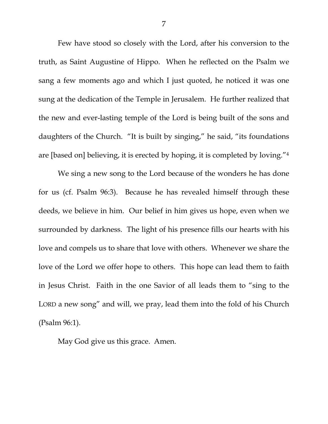Few have stood so closely with the Lord, after his conversion to the truth, as Saint Augustine of Hippo. When he reflected on the Psalm we sang a few moments ago and which I just quoted, he noticed it was one sung at the dedication of the Temple in Jerusalem. He further realized that the new and ever-lasting temple of the Lord is being built of the sons and daughters of the Church. "It is built by singing," he said, "its foundations are [based on] believing, it is erected by hoping, it is completed by loving."4

 We sing a new song to the Lord because of the wonders he has done for us (cf. Psalm 96:3). Because he has revealed himself through these deeds, we believe in him. Our belief in him gives us hope, even when we surrounded by darkness. The light of his presence fills our hearts with his love and compels us to share that love with others. Whenever we share the love of the Lord we offer hope to others. This hope can lead them to faith in Jesus Christ. Faith in the one Savior of all leads them to "sing to the LORD a new song" and will, we pray, lead them into the fold of his Church (Psalm 96:1).

May God give us this grace. Amen.